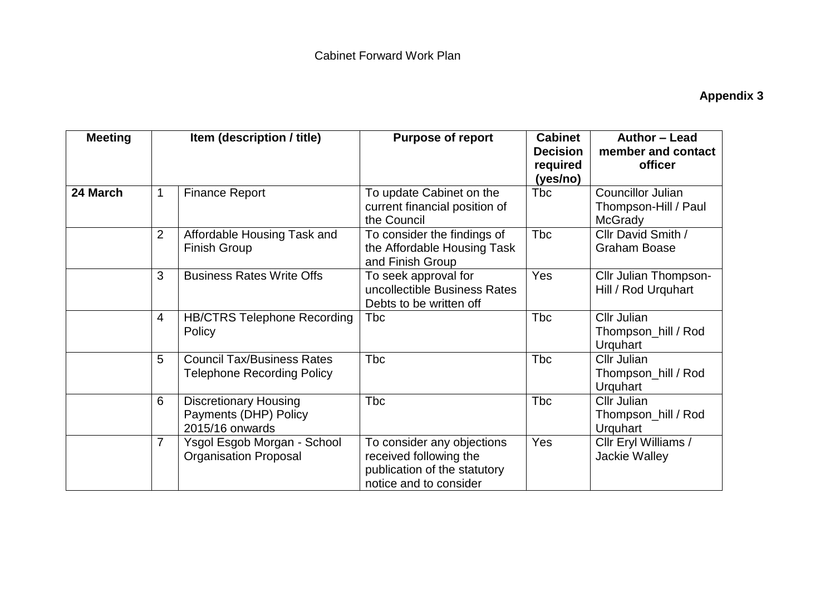## **Appendix 3**

| <b>Meeting</b> | Item (description / title) |                                                                          | <b>Purpose of report</b>                                                                                       | <b>Cabinet</b><br><b>Decision</b><br>required<br>(yes/no) | Author - Lead<br>member and contact<br>officer                     |
|----------------|----------------------------|--------------------------------------------------------------------------|----------------------------------------------------------------------------------------------------------------|-----------------------------------------------------------|--------------------------------------------------------------------|
| 24 March       | $\mathbf{1}$               | <b>Finance Report</b>                                                    | To update Cabinet on the<br>current financial position of<br>the Council                                       | <b>T</b> bc                                               | <b>Councillor Julian</b><br>Thompson-Hill / Paul<br><b>McGrady</b> |
|                | $\overline{2}$             | Affordable Housing Task and<br><b>Finish Group</b>                       | To consider the findings of<br>the Affordable Housing Task<br>and Finish Group                                 | <b>Tbc</b>                                                | Cllr David Smith /<br><b>Graham Boase</b>                          |
|                | 3                          | <b>Business Rates Write Offs</b>                                         | To seek approval for<br>uncollectible Business Rates<br>Debts to be written off                                | Yes                                                       | Cllr Julian Thompson-<br>Hill / Rod Urquhart                       |
|                | $\overline{4}$             | <b>HB/CTRS Telephone Recording</b><br>Policy                             | <b>Tbc</b>                                                                                                     | Tbc                                                       | Cllr Julian<br>Thompson_hill / Rod<br>Urquhart                     |
|                | 5                          | <b>Council Tax/Business Rates</b><br><b>Telephone Recording Policy</b>   | <b>Tbc</b>                                                                                                     | <b>Tbc</b>                                                | Cllr Julian<br>Thompson_hill / Rod<br><b>Urquhart</b>              |
|                | 6                          | <b>Discretionary Housing</b><br>Payments (DHP) Policy<br>2015/16 onwards | <b>Tbc</b>                                                                                                     | <b>T</b> bc                                               | Cllr Julian<br>Thompson_hill / Rod<br><b>Urquhart</b>              |
|                | $\overline{7}$             | Ysgol Esgob Morgan - School<br><b>Organisation Proposal</b>              | To consider any objections<br>received following the<br>publication of the statutory<br>notice and to consider | Yes                                                       | Cllr Eryl Williams /<br><b>Jackie Walley</b>                       |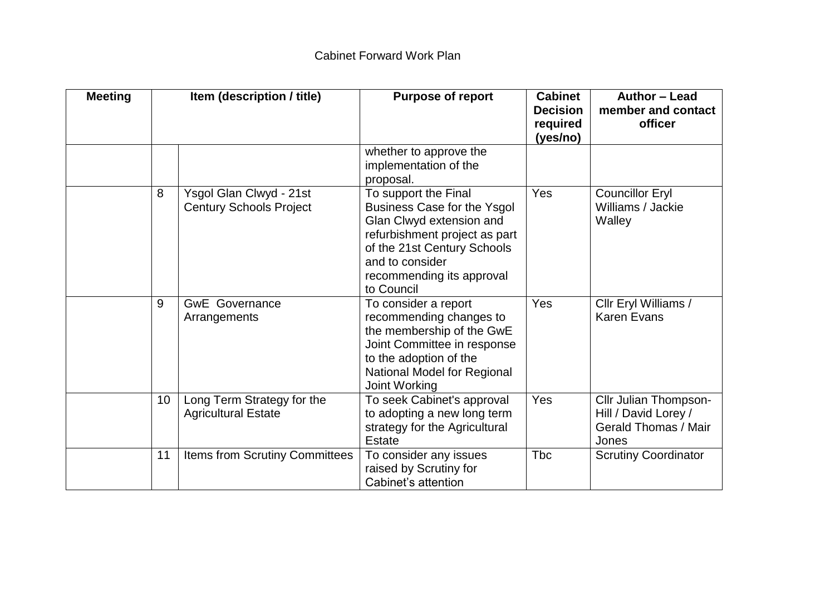| <b>Meeting</b> | Item (description / title) |                                                           | <b>Purpose of report</b>                                                                                                                                                                                      | <b>Cabinet</b><br><b>Decision</b><br>required<br>(yes/no) | Author - Lead<br>member and contact<br>officer                                        |
|----------------|----------------------------|-----------------------------------------------------------|---------------------------------------------------------------------------------------------------------------------------------------------------------------------------------------------------------------|-----------------------------------------------------------|---------------------------------------------------------------------------------------|
|                |                            |                                                           | whether to approve the<br>implementation of the<br>proposal.                                                                                                                                                  |                                                           |                                                                                       |
|                | 8                          | Ysgol Glan Clwyd - 21st<br><b>Century Schools Project</b> | To support the Final<br>Business Case for the Ysgol<br>Glan Clwyd extension and<br>refurbishment project as part<br>of the 21st Century Schools<br>and to consider<br>recommending its approval<br>to Council | Yes                                                       | <b>Councillor Eryl</b><br>Williams / Jackie<br>Walley                                 |
|                | 9                          | <b>GwE</b> Governance<br>Arrangements                     | To consider a report<br>recommending changes to<br>the membership of the GwE<br>Joint Committee in response<br>to the adoption of the<br>National Model for Regional<br>Joint Working                         | Yes                                                       | Cllr Eryl Williams /<br><b>Karen Evans</b>                                            |
|                | 10                         | Long Term Strategy for the<br><b>Agricultural Estate</b>  | To seek Cabinet's approval<br>to adopting a new long term<br>strategy for the Agricultural<br><b>Estate</b>                                                                                                   | Yes                                                       | Cllr Julian Thompson-<br>Hill / David Lorey /<br><b>Gerald Thomas / Mair</b><br>Jones |
|                | 11                         | Items from Scrutiny Committees                            | To consider any issues<br>raised by Scrutiny for<br>Cabinet's attention                                                                                                                                       | <b>Tbc</b>                                                | <b>Scrutiny Coordinator</b>                                                           |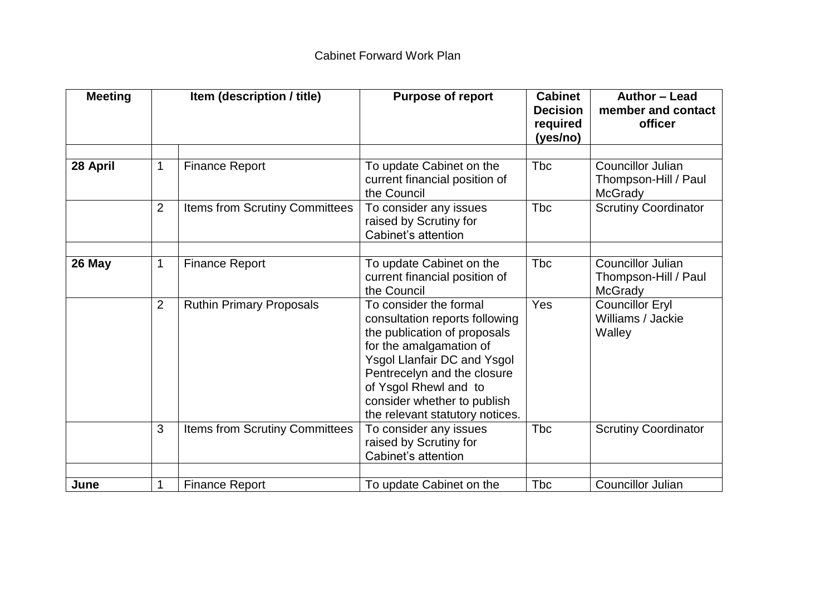| <b>Meeting</b> |                | Item (description / title)      | <b>Purpose of report</b>                                                                                                                                                                                                                                                            | <b>Cabinet</b><br><b>Decision</b><br>required<br>(yes/no) | Author - Lead<br>member and contact<br>officer                     |
|----------------|----------------|---------------------------------|-------------------------------------------------------------------------------------------------------------------------------------------------------------------------------------------------------------------------------------------------------------------------------------|-----------------------------------------------------------|--------------------------------------------------------------------|
| 28 April       | $\mathbf 1$    | <b>Finance Report</b>           | To update Cabinet on the<br>current financial position of<br>the Council                                                                                                                                                                                                            | <b>Tbc</b>                                                | <b>Councillor Julian</b><br>Thompson-Hill / Paul<br><b>McGrady</b> |
|                | $\overline{2}$ | Items from Scrutiny Committees  | To consider any issues<br>raised by Scrutiny for<br>Cabinet's attention                                                                                                                                                                                                             | <b>Tbc</b>                                                | <b>Scrutiny Coordinator</b>                                        |
| 26 May         | $\mathbf 1$    | <b>Finance Report</b>           | To update Cabinet on the<br>current financial position of<br>the Council                                                                                                                                                                                                            | <b>Tbc</b>                                                | <b>Councillor Julian</b><br>Thompson-Hill / Paul<br><b>McGrady</b> |
|                | $\overline{2}$ | <b>Ruthin Primary Proposals</b> | To consider the formal<br>consultation reports following<br>the publication of proposals<br>for the amalgamation of<br><b>Ysgol Llanfair DC and Ysgol</b><br>Pentrecelyn and the closure<br>of Ysgol Rhewl and to<br>consider whether to publish<br>the relevant statutory notices. | Yes                                                       | <b>Councillor Eryl</b><br>Williams / Jackie<br>Walley              |
|                | 3              | Items from Scrutiny Committees  | To consider any issues<br>raised by Scrutiny for<br>Cabinet's attention                                                                                                                                                                                                             | <b>Tbc</b>                                                | <b>Scrutiny Coordinator</b>                                        |
| June           | $\mathbf 1$    | <b>Finance Report</b>           | To update Cabinet on the                                                                                                                                                                                                                                                            | <b>Tbc</b>                                                | <b>Councillor Julian</b>                                           |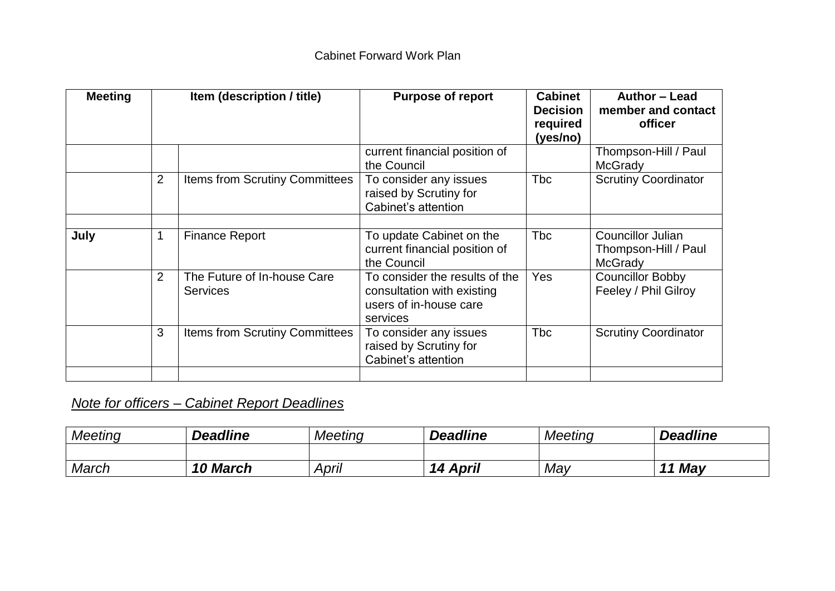## Cabinet Forward Work Plan

| <b>Meeting</b> | Item (description / title) |                                                | <b>Purpose of report</b>                                                                           | <b>Cabinet</b><br><b>Decision</b><br>required<br>(yes/no) | Author - Lead<br>member and contact<br>officer                     |
|----------------|----------------------------|------------------------------------------------|----------------------------------------------------------------------------------------------------|-----------------------------------------------------------|--------------------------------------------------------------------|
|                |                            |                                                | current financial position of<br>the Council                                                       |                                                           | Thompson-Hill / Paul<br><b>McGrady</b>                             |
|                | 2                          | <b>Items from Scrutiny Committees</b>          | To consider any issues<br>raised by Scrutiny for<br>Cabinet's attention                            | <b>Tbc</b>                                                | <b>Scrutiny Coordinator</b>                                        |
| July           | 1                          | <b>Finance Report</b>                          | To update Cabinet on the<br>current financial position of<br>the Council                           | <b>Tbc</b>                                                | <b>Councillor Julian</b><br>Thompson-Hill / Paul<br><b>McGrady</b> |
|                | 2                          | The Future of In-house Care<br><b>Services</b> | To consider the results of the<br>consultation with existing<br>users of in-house care<br>services | Yes                                                       | <b>Councillor Bobby</b><br>Feeley / Phil Gilroy                    |
|                | 3                          | <b>Items from Scrutiny Committees</b>          | To consider any issues<br>raised by Scrutiny for<br>Cabinet's attention                            | <b>T</b> bc                                               | <b>Scrutiny Coordinator</b>                                        |
|                |                            |                                                |                                                                                                    |                                                           |                                                                    |

## *Note for officers – Cabinet Report Deadlines*

| <b>Meeting</b> | <b>Deadline</b> | Meeting | <b>Deadline</b>    | Meeting | <b>Deadline</b>                 |
|----------------|-----------------|---------|--------------------|---------|---------------------------------|
|                |                 |         |                    |         |                                 |
| March          | <b>10 March</b> | April   | <b>April</b><br>14 | May     | May<br>$\overline{\phantom{a}}$ |